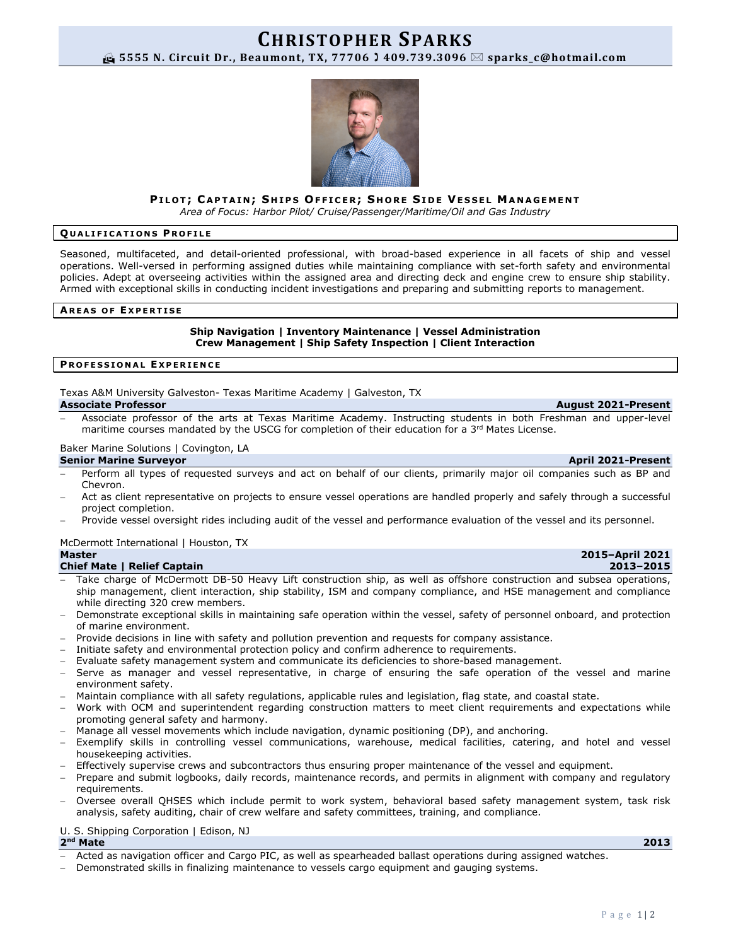# **CHRISTOPHER SPARKS 5555 N. Circuit Dr., Beaumont, TX, 77706 409.739.3096 sparks\_c@hotmail.com**

# PILOT; CAPTAIN; SHIPS OFFICER; SHORE SIDE VESSEL MANAGEMENT

*Area of Focus: Harbor Pilot/ Cruise/Passenger/Maritime/Oil and Gas Industry*

## **Q U A L I F I C A T I O N S P R O F I L E**

Seasoned, multifaceted, and detail-oriented professional, with broad-based experience in all facets of ship and vessel operations. Well-versed in performing assigned duties while maintaining compliance with set-forth safety and environmental policies. Adept at overseeing activities within the assigned area and directing deck and engine crew to ensure ship stability. Armed with exceptional skills in conducting incident investigations and preparing and submitting reports to management.

# **A R E A S O F E X P E R T I S E**

# **Ship Navigation | Inventory Maintenance | Vessel Administration Crew Management | Ship Safety Inspection | Client Interaction**

## **P R O F E S S I O N A L E X P E R I E N C E**

Texas A&M University Galveston- Texas Maritime Academy | Galveston, TX **Associate Professor August 2021-Present**

− Associate professor of the arts at Texas Maritime Academy. Instructing students in both Freshman and upper-level maritime courses mandated by the USCG for completion of their education for a 3<sup>rd</sup> Mates License.

### Baker Marine Solutions | Covington, LA

## **Senior Marine Surveyor April 2021-Present**

- Perform all types of requested surveys and act on behalf of our clients, primarily major oil companies such as BP and Chevron.
- − Act as client representative on projects to ensure vessel operations are handled properly and safely through a successful project completion.
- − Provide vessel oversight rides including audit of the vessel and performance evaluation of the vessel and its personnel.

# McDermott International | Houston, TX

## **Chief Mate | Relief Captain 2013–2015**

- Take charge of McDermott DB-50 Heavy Lift construction ship, as well as offshore construction and subsea operations, ship management, client interaction, ship stability, ISM and company compliance, and HSE management and compliance while directing 320 crew members.
- Demonstrate exceptional skills in maintaining safe operation within the vessel, safety of personnel onboard, and protection of marine environment.
- Provide decisions in line with safety and pollution prevention and requests for company assistance.
- − Initiate safety and environmental protection policy and confirm adherence to requirements.
- − Evaluate safety management system and communicate its deficiencies to shore-based management.
- Serve as manager and vessel representative, in charge of ensuring the safe operation of the vessel and marine environment safety.
- − Maintain compliance with all safety regulations, applicable rules and legislation, flag state, and coastal state.
- Work with OCM and superintendent regarding construction matters to meet client requirements and expectations while promoting general safety and harmony.
- − Manage all vessel movements which include navigation, dynamic positioning (DP), and anchoring.
- − Exemplify skills in controlling vessel communications, warehouse, medical facilities, catering, and hotel and vessel housekeeping activities.
- Effectively supervise crews and subcontractors thus ensuring proper maintenance of the vessel and equipment.
- − Prepare and submit logbooks, daily records, maintenance records, and permits in alignment with company and regulatory requirements.
- − Oversee overall QHSES which include permit to work system, behavioral based safety management system, task risk analysis, safety auditing, chair of crew welfare and safety committees, training, and compliance.

# U. S. Shipping Corporation | Edison, NJ

### 2<sup>nd</sup> Mate **nd Mate 2013**

- − Acted as navigation officer and Cargo PIC, as well as spearheaded ballast operations during assigned watches.
- Demonstrated skills in finalizing maintenance to vessels cargo equipment and gauging systems.



# **Master 2015–April 2021**